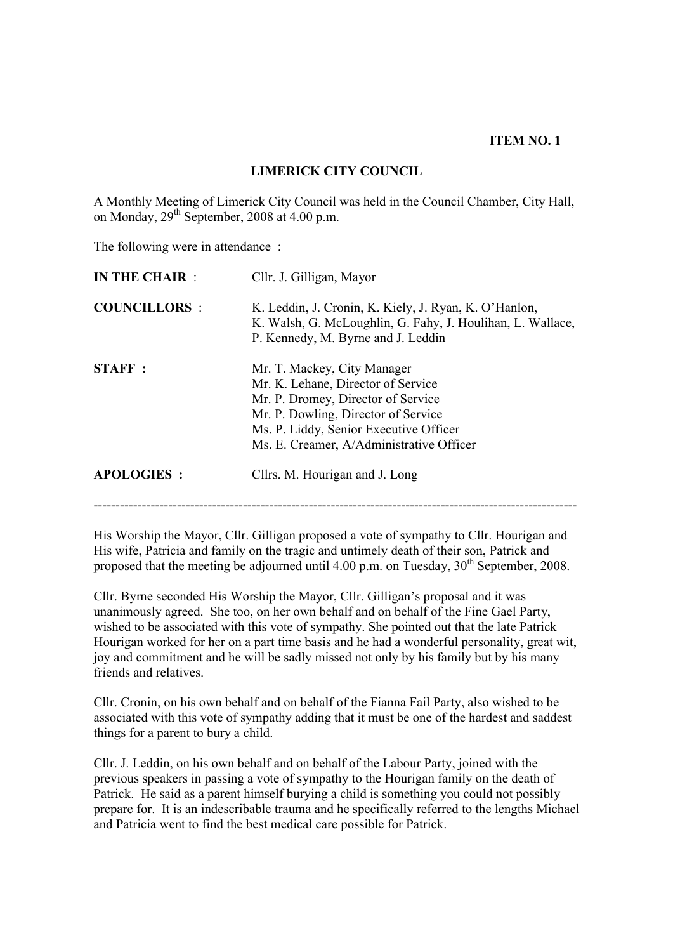## **ITEM NO. 1**

## **LIMERICK CITY COUNCIL**

A Monthly Meeting of Limerick City Council was held in the Council Chamber, City Hall, on Monday,  $29<sup>th</sup>$  September, 2008 at 4.00 p.m.

The following were in attendance:

| <b>IN THE CHAIR:</b> | Cllr. J. Gilligan, Mayor                                                                                                                                                                                                             |  |
|----------------------|--------------------------------------------------------------------------------------------------------------------------------------------------------------------------------------------------------------------------------------|--|
| <b>COUNCILLORS:</b>  | K. Leddin, J. Cronin, K. Kiely, J. Ryan, K. O'Hanlon,<br>K. Walsh, G. McLoughlin, G. Fahy, J. Houlihan, L. Wallace,<br>P. Kennedy, M. Byrne and J. Leddin                                                                            |  |
| <b>STAFF:</b>        | Mr. T. Mackey, City Manager<br>Mr. K. Lehane, Director of Service<br>Mr. P. Dromey, Director of Service<br>Mr. P. Dowling, Director of Service<br>Ms. P. Liddy, Senior Executive Officer<br>Ms. E. Creamer, A/Administrative Officer |  |
| <b>APOLOGIES:</b>    | Cllrs. M. Hourigan and J. Long                                                                                                                                                                                                       |  |
|                      |                                                                                                                                                                                                                                      |  |

His Worship the Mayor, Cllr. Gilligan proposed a vote of sympathy to Cllr. Hourigan and His wife, Patricia and family on the tragic and untimely death of their son, Patrick and proposed that the meeting be adjourned until  $4.00$  p.m. on Tuesday,  $30<sup>th</sup>$  September, 2008.

Cllr. Byrne seconded His Worship the Mayor, Cllr. Gilligan's proposal and it was unanimously agreed. She too, on her own behalf and on behalf of the Fine Gael Party, wished to be associated with this vote of sympathy. She pointed out that the late Patrick Hourigan worked for her on a part time basis and he had a wonderful personality, great wit, joy and commitment and he will be sadly missed not only by his family but by his many friends and relatives.

Cllr. Cronin, on his own behalf and on behalf of the Fianna Fail Party, also wished to be associated with this vote of sympathy adding that it must be one of the hardest and saddest things for a parent to bury a child.

Cllr. J. Leddin, on his own behalf and on behalf of the Labour Party, joined with the previous speakers in passing a vote of sympathy to the Hourigan family on the death of Patrick. He said as a parent himself burying a child is something you could not possibly prepare for. It is an indescribable trauma and he specifically referred to the lengths Michael and Patricia went to find the best medical care possible for Patrick.